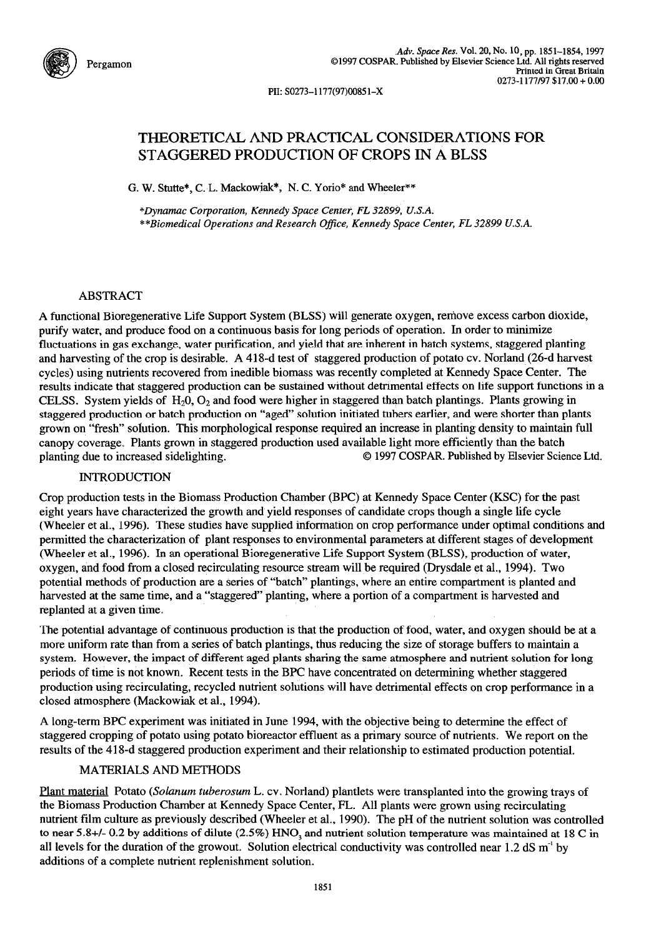

**PII: SO273-1177(97)0085 1-X** 

# **THEORETICAL AND PRACTICAL CONSIDERATIONS FOR STAGGERED PRODUCTION OF CROPS IN A BLSS**

G. W. Stutte\*, C. **L.** Mackowiak\*, N. C. Yorio\* and Wheeler\*\*

\*Dynamac *Corporation, Kennedy Space Center, FL 32899, U.S.A. \*\*Biomedical Operations* and *Research Ofice, Kennedy Space Center, FL 32899 U.S.A.* 

## ABSTRACT

A functional Bioregenerative Life Support System (BLSS) will generate oxygen, remove excess carbon dioxide, purify water, and produce food on a continuous basis for long periods of operation. In order to minimize fluctuations in gas exchange, water purification, and yield that are inherent in batch systems, staggered planting and harvesting of the crop is desirable. A 418-d test of staggered production of potato cv. Norland (26-d harvest cycles) using nutrients recovered from inedible biomass was recently completed at Kennedy Space Center. The results indicate that staggered production can be sustained without detrimental effects on life support functions in a CELSS. System yields of  $H_2O$ ,  $O_2$  and food were higher in staggered than batch plantings. Plants growing in staggered production or batch production on "aged" solution initiated tubers earlier, and were shorter than plants grown on "'fresh" solution. This morphological response required an increase in planting density to maintain full canopy coverage. Plants grown in staggered production used available light more efficiently than the batch planting due to increased sidelighting. 0 1997 COSPAR. Published by Elsevier Science Ltd.

### INTRODUCTION

Crop production tests in the Biomass Production Chamber (BPC) at Kennedy Space Center (KSC) for the past eight years have characterized the growth and yield responses of candidate crops though a single life cycle (Wheeler et al., 1996). These studies have supplied information on crop performance under optimal conditions and permitted the characterization of plant responses to environmental parameters at different stages of development (Wheeler et al., 1996). In an operational Bioregenerative Life Support System (BLSS), production of water, oxygen, and food from a closed recirculating resource stream will be required (Drysdale et al., 1994). Two potential methods of production are a series of "batch" plantings, where an entire compartment is planted and harvested at the same time, and a "staggered" planting, where a portion of a compartment is harvested and replanted at a given time.

The potential advantage of continuous production is that the production of food, water, and oxygen should be at a more uniform rate than from a series of batch plantings, thus reducing the size of storage buffers to maintain a system. However, the impact of different aged plants sharing the same atmosphere and nutrient solution for long periods of time is not known. Recent tests in the BPC have concentrated on determining whether staggered production using recirculating, recycled nutrient solutians will have detrimental effects on crop performance in a closed atmosphere (Mackowiak et al., 1994).

A long-term BPC experiment was initiated in June 1994, with the objective being to determine the effect of staggered cropping of potato using potato bioreactor effluent as a primary source of nutrients. We report on the results of the 418-d staggered production experiment and their relationship to estimated production potential.

### MATERIALS AND METHODS

Plant material Potato (Solanum tuberosum L. cv. Norland) plantlets were transplanted into the growing trays of the Biomass Production Chamber at Kennedy Space Center, FL. All plants were grown using recirculating nutrient film culture as previously described (Wheeler et al., 1990). The pH of the nutrient solution was controlled to near 5.8+/- 0.2 by additions of dilute (2.5%) HNO, and nutrient solution temperature was maintained at 18 C in all levels for the duration of the growout. Solution electrical conductivity was controlled near  $1.2 \text{ dS m}$ <sup>1</sup> by additions of a complete nutrient replenishment solution.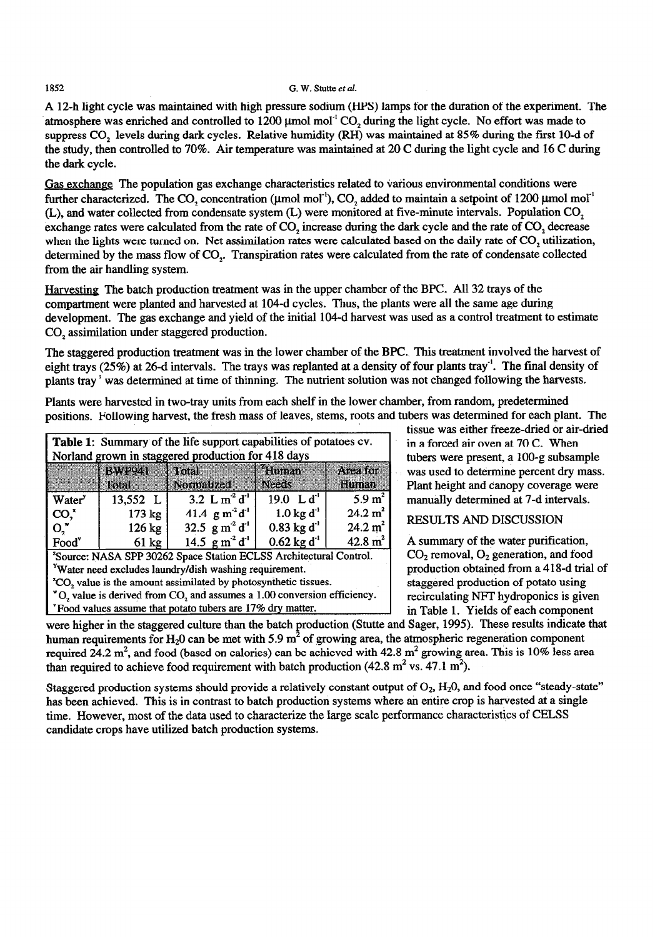#### **1852 G. W. Stutte et al.**

A 12-h light cycle was maintained with high pressure sodium (HPS) lamps for the duration of the experiment. The atmosphere was enriched and controlled to  $1200 \mu$ mol mol<sup>-1</sup> CO, during the light cycle. No effort was made to suppress CO, levels during dark cycles. Relative humidity (RH) was maintained at 85% during the first 10-d of the study, then controlled to 70%. Air temperature was maintained at 20 C during the light cycle and 16 C during the dark cycle.

Gas exchange The population gas exchange characteristics related to various environmental conditions were further characterized. The CO, concentration ( $\mu$ mol mol<sup>-1</sup>), CO, added to maintain a setpoint of 1200  $\mu$ mol mol<sup>-1</sup> (L), and water collected from condensate system (L) were monitored at five-minute intervals. Population CO, exchange rates were calculated from the rate of CO, increase during the dark cycle and the rate of CO, decrease when the lights were turned on. Net assimilation rates were calculated based on the daily rate of CO, utilization, determined by the mass flow of CO<sub>2</sub>. Transpiration rates were calculated from the rate of condensate collected from the air handling system.

Harvesting The batch production treatment was in the upper chamber of the BPC. All 32 trays of the compartment were planted and harvested at 104-d cycles. Thus, the plants were all the same age during development. The gas exchange and yield of the initial 104-d harvest was used as a control treatment to estimate CO, assimilation under staggered production.

The staggered production treatment was in the lower chamber of the BPC. This treatment involved the harvest of eight trays (25%) at 26-d intervals. The trays was replanted at a density of four plants tray<sup>-1</sup>. The final density of plants tray<sup>-1</sup> was determined at time of thinning. The nutrient solution was not changed following the harvests.

Plants were harvested in two-tray units from each shelf in the lower chamber, from random, predetermined positions. Following harvest, the fresh mass of leaves, stems, roots and tubers was determined for each plant. The

| Table 1: Summary of the life support capabilities of potatoes cv.<br>Norland grown in staggered production for 418 days |                  |                                |                           |                     |
|-------------------------------------------------------------------------------------------------------------------------|------------------|--------------------------------|---------------------------|---------------------|
|                                                                                                                         | BWP941<br>Total  | Total<br>Normalized            | Human<br>Needs            | Area for<br>Human   |
| Water <sup>y</sup>                                                                                                      | 13,552 L         | 3.2 L $m^2 d^1$                | 19.0 $L d'$               | $5.9 \text{ m}^2$   |
| $CO2\lambda$                                                                                                            | $173 \text{ kg}$ | 41.4 $\text{g m}^2 \text{d}^1$ | $1.0 \text{ kg d}^3$      | 24.2 m <sup>2</sup> |
| $O^*$                                                                                                                   | $126 \text{ kg}$ | 32.5 $\text{g m}^2 \text{d}^1$ | $0.83$ kg d <sup>-1</sup> | 24.2 m <sup>2</sup> |
| Food <sup>*</sup>                                                                                                       | $61 \text{ kg}$  | 14.5 $\text{g m}^2 \text{d}^1$ | $0.62$ kg d <sup>-1</sup> | 42.8 $m^2$          |
| <sup>2</sup> Source: NASA SPP 30262 Space Station ECLSS Architectural Control.                                          |                  |                                |                           |                     |
| Water need excludes laundry/dish washing requirement.                                                                   |                  |                                |                           |                     |
| <sup>x</sup> CO <sub>2</sub> value is the amount assimilated by photosynthetic tissues.                                 |                  |                                |                           |                     |
| "O, value is derived from CO, and assumes a 1.00 conversion efficiency.                                                 |                  |                                |                           |                     |
| 'Food values assume that potato tubers are 17% dry matter.                                                              |                  |                                |                           |                     |

tissue was either freeze-dried or air-dried in a forced air oven at 70 C. When tubers were present, a 100-g subsample was used to determine percent dry mass. Plant height and canopy coverage were manually determined at 7-d intervals.

# RESULTS AND DISCUSSION

A summary of the water purification,  $CO<sub>2</sub>$  removal,  $O<sub>2</sub>$  generation, and food production obtained from a 418-d trial of staggered production of potato using recirculating NFT hydroponics is given in Table 1. Yields of each component

were higher in the staggered culture than the batch production (Stutte and Sager, 1995). These results indicate that human requirements for H<sub>2</sub>0 can be met with 5.9 m<sup>2</sup> of growing area, the atmospheric regeneration component required 24.2 m<sup>2</sup>, and food (based on calories) can be achieved with 42.8 m<sup>2</sup> growing area. This is 10% less area than required to achieve food requirement with batch production (42.8  $m^2$  vs. 47.1  $m^2$ ).

Staggered production systems should provide a relatively constant output of  $O_2$ ,  $H_2O$ , and food once "steady-state" has been achieved. This is in contrast to batch production systems where an entire crop is harvested at a single time. However, most of the data used to characterize the large scale performance characteristics of CELSS candidate crops have utilized batch production systems.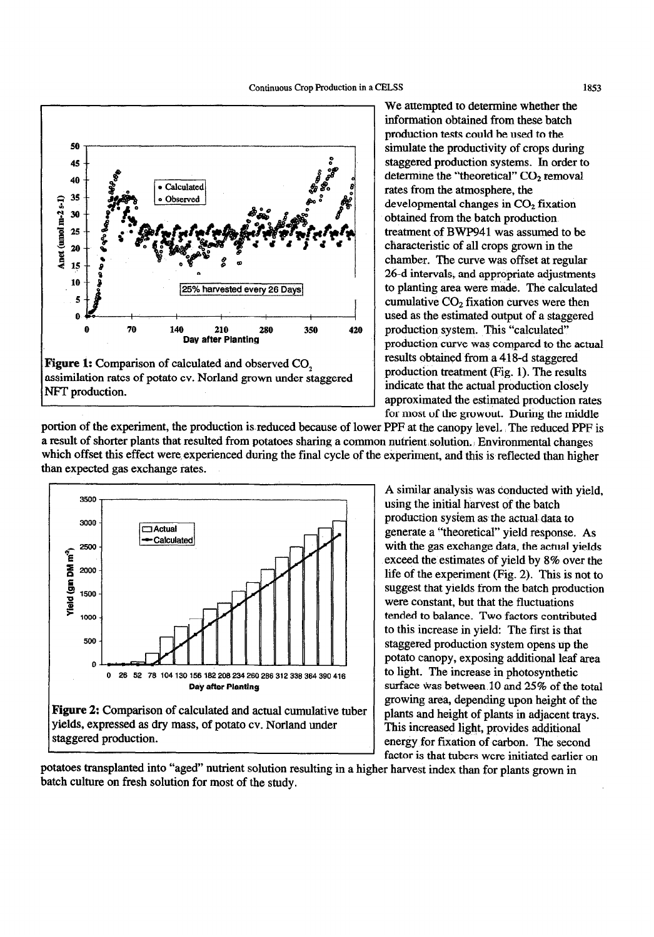

We attempted to determine whether the information obtained from these batch production tests could be used to the simulate the productivity of crops during staggered production systems. In order to determine the "theoretical"  $CO<sub>2</sub>$  removal rates from the atmosphere, the developmental changes in  $CO<sub>2</sub>$  fixation obtained from the batch production treatment of BWP941 was assumed to be characteristic of all crops grown in the chamber. The curve was offset at regular 26-d intervals, and appropriate adjustments to planting area were made. The calculated cumulative  $CO<sub>2</sub>$  fixation curves were then used as the estimated output of a staggered production system. This "calculated" production curve was compared to the actual results obtained from a 4 18-d staggered production treatment (Fig. 1). The results indicate that the actual production closely approximated the estimated production rates for most of the growout. During the middle

using the initial harvest of the batch production system as the actual data to generate a "theoretical" yield response. As with the gas exchange data, the actual yields exceed the estimates of yield by 8% over the life of the experiment (Fig. 2). This is not to suggest that yields from the batch production were constant, but that the fluctuations tended to balance. Two factors contributed to this increase in yield: The first is that staggered production system opens up the potato canopy, exposing additional leaf area to light. The increase in photosynthetic surface was between 10 and 25% of the total growing area, depending upon height of the plants and height of plants in adjacent trays. This increased light, provides additional energy for fixation of carbon. The second

portion of the experiment, the production is reduced because of lower PPF at the canopy level. The reduced PPF is a result of shorter plants that resulted from potatoes sharing a common nutrient, solution. Environmental changes which offset this effect were experienced during the final cycle of the experiment, and this is reflected than higher than expected gas exchange rates.



factor is that tubers were initiated earlier on potatoes transplanted into "aged" nutrient solution resulting in a higher harvest index than for plants grown in batch culture on fresh solution for most of the study.